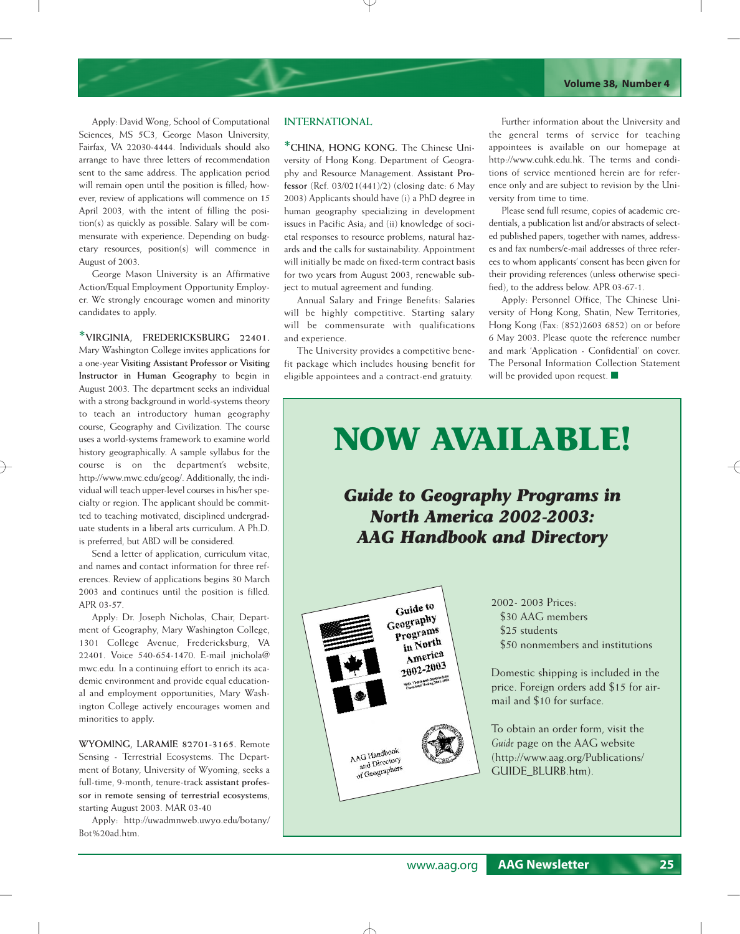Apply: David Wong, School of Computational Sciences, MS 5C3, George Mason University, Fairfax, VA 22030-4444. Individuals should also arrange to have three letters of recommendation sent to the same address. The application period will remain open until the position is filled; however, review of applications will commence on 15 April 2003, with the intent of filling the position(s) as quickly as possible. Salary will be commensurate with experience. Depending on budgetary resources, position(s) will commence in August of 2003.

George Mason University is an Affirmative Action/Equal Employment Opportunity Employer. We strongly encourage women and minority candidates to apply.

**\*VIRGINIA, FREDERICKSBURG 22401.**  Mary Washington College invites applications for a one-year **Visiting Assistant Professor or Visiting Instructor in Human Geography** to begin in August 2003. The department seeks an individual with a strong background in world-systems theory to teach an introductory human geography course, Geography and Civilization. The course uses a world-systems framework to examine world history geographically. A sample syllabus for the course is on the department's website, http://www.mwc.edu/geog/. Additionally, the individual will teach upper-level courses in his/her specialty or region. The applicant should be committed to teaching motivated, disciplined undergraduate students in a liberal arts curriculum. A Ph.D. is preferred, but ABD will be considered.

Send a letter of application, curriculum vitae, and names and contact information for three references. Review of applications begins 30 March 2003 and continues until the position is filled. APR 03-57.

Apply: Dr. Joseph Nicholas, Chair, Department of Geography, Mary Washington College, 1301 College Avenue, Fredericksburg, VA 22401. Voice 540-654-1470. E-mail jnichola@ mwc.edu. In a continuing effort to enrich its academic environment and provide equal educational and employment opportunities, Mary Washington College actively encourages women and minorities to apply.

**WYOMING, LARAMIE 82701-3165.** Remote Sensing - Terrestrial Ecosystems. The Department of Botany, University of Wyoming, seeks a full-time, 9-month, tenure-track **assistant professor** in **remote sensing of terrestrial ecosystems**, starting August 2003. MAR 03-40

Apply: http://uwadmnweb.uwyo.edu/botany/ Bot%20ad.htm.

## **INTERNATIONAL**

**\*CHINA, HONG KONG.** The Chinese University of Hong Kong. Department of Geography and Resource Management. **Assistant Professor** (Ref. 03/021(441)/2) (closing date: 6 May 2003) Applicants should have (i) a PhD degree in human geography specializing in development issues in Pacific Asia; and (ii) knowledge of societal responses to resource problems, natural hazards and the calls for sustainability. Appointment will initially be made on fixed-term contract basis for two years from August 2003, renewable subject to mutual agreement and funding.

Annual Salary and Fringe Benefits: Salaries will be highly competitive. Starting salary will be commensurate with qualifications and experience.

The University provides a competitive benefit package which includes housing benefit for eligible appointees and a contract-end gratuity.

Further information about the University and the general terms of service for teaching appointees is available on our homepage at http://www.cuhk.edu.hk. The terms and conditions of service mentioned herein are for reference only and are subject to revision by the University from time to time.

Please send full resume, copies of academic credentials, a publication list and/or abstracts of selected published papers, together with names, addresses and fax numbers/e-mail addresses of three referees to whom applicants' consent has been given for their providing references (unless otherwise specified), to the address below. APR 03-67-1.

Apply: Personnel Office, The Chinese University of Hong Kong, Shatin, New Territories, Hong Kong (Fax: (852)2603 6852) on or before 6 May 2003. Please quote the reference number and mark 'Application - Confidential' on cover. The Personal Information Collection Statement will be provided upon request. ■